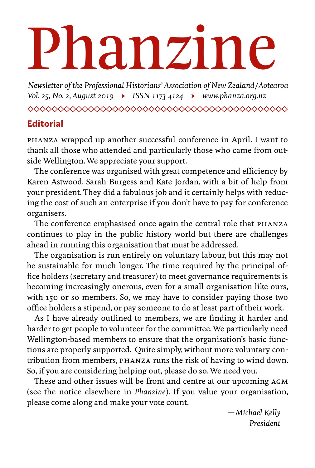# Phanzine

*Newsletter of the Professional Historians' Association of New Zealand /Aotearoa Vol. 25, No. 2, August 2019 ► ISSN 1173 4124 ► www.phanza.org.nz*

#### **Editorial**

PHANZA wrapped up another successful conference in April. I want to thank all those who attended and particularly those who came from outside Wellington. We appreciate your support.

The conference was organised with great competence and efficiency by Karen Astwood, Sarah Burgess and Kate Jordan, with a bit of help from your president. They did a fabulous job and it certainly helps with reducing the cost of such an enterprise if you don't have to pay for conference organisers.

The conference emphasised once again the central role that PHANZA continues to play in the public history world but there are challenges ahead in running this organisation that must be addressed.

The organisation is run entirely on voluntary labour, but this may not be sustainable for much longer. The time required by the principal office holders (secretary and treasurer) to meet governance requirements is becoming increasingly onerous, even for a small organisation like ours, with 150 or so members. So, we may have to consider paying those two office holders a stipend, or pay someone to do at least part of their work.

As I have already outlined to members, we are finding it harder and harder to get people to volunteer for the committee. We particularly need Wellington-based members to ensure that the organisation's basic functions are properly supported. Quite simply, without more voluntary contribution from members, PHANZA runs the risk of having to wind down. So, if you are considering helping out, please do so. We need you.

These and other issues will be front and centre at our upcoming AGM (see the notice elsewhere in *Phanzine*). If you value your organisation, please come along and make your vote count.

> *— Michael Kelly President*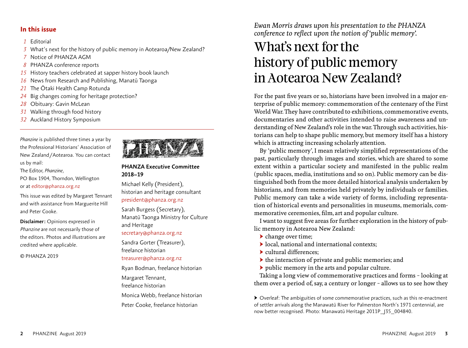#### **In this issue**

#### *1* Editorial

- *3* What's next for the history of public memory in Aotearoa/New Zealand?
- *7* Notice of PHANZA AGM
- *8* PHANZA conference reports
- *15* History teachers celebrated at sapper history book launch
- *16* News from Research and Publishing, Manatū Taonga
- *21* The Ōtaki Health Camp Rotunda
- *24* Big changes coming for heritage protection?
- *28* Obituary: Gavin McLean
- *31* Walking through food history
- *32* Auckland History Symposium

*Phanzine* is published three times a year by the Professional Historians' Association of New Zealand/Aotearoa. You can contact us by mail:

The Editor, *Phanzine*,

PO Box 1904, Thorndon, Wellington or at [editor@phanza.org.nz](mailto:editor@phanza.org.nz)

This issue was edited by Margaret Tennant and with assistance from Marguerite Hill and Peter Cooke.

Disclaimer: Opinions expressed in Phanzine are not necessarily those of the editors. Photos and illustrations are credited where applicable.

© PHANZA 2019



#### PHANZA Executive Committee 2018–19

Michael Kelly (President), historian and heritage consultant [president@phanza.org.nz](mailto:president@phanza.org.nz)

Sarah Burgess (Secretary), Manatū Taonga Ministry for Culture and Heritage

#### [secretary@phanza.org.nz](mailto:secretary@phanza.org.nz)

Sandra Gorter (Treasurer), freelance historian [treasurer@phanza.org.nz](mailto:treasurer@phanza.org.nz)

Ryan Bodman, freelance historian

Margaret Tennant, freelance historian

Monica Webb, freelance historian

Peter Cooke, freelance historian

*Ewan Morris draws upon his presentation to the PHANZA conference to reflect upon the notion of 'public memory'.* 

## What's next for the history of public memory in Aotearoa New Zealand?

For the past five years or so, historians have been involved in a major enterprise of public memory: commemoration of the centenary of the First World War. They have contributed to exhibitions, commemorative events, documentaries and other activities intended to raise awareness and understanding of New Zealand's role in the war. Through such activities, historians can help to shape public memory, but memory itself has a history which is attracting increasing scholarly attention.

By 'public memory', I mean relatively simplified representations of the past, particularly through images and stories, which are shared to some extent within a particular society and manifested in the public realm (public spaces, media, institutions and so on). Public memory can be distinguished both from the more detailed historical analysis undertaken by historians, and from memories held privately by individuals or families. Public memory can take a wide variety of forms, including representation of historical events and personalities in museums, memorials, commemorative ceremonies, film, art and popular culture.

I want to suggest five areas for further exploration in the history of public memory in Aotearoa New Zealand:

- *►* change over time;
- *►* local, national and international contexts;
- *►* cultural differences;
- *►* the interaction of private and public memories; and
- *►* public memory in the arts and popular culture.

Taking a long view of commemorative practices and forms – looking at them over a period of, say, a century or longer – allows us to see how they

*►* Overleaf: The ambiguities of some commemorative practices, such as this re-enactment of settler arrivals along the Manawatū River for Palmerston North's 1971 centennial, are now better recognised. Photo: Manawatū Heritage 2011P\_J35\_004840.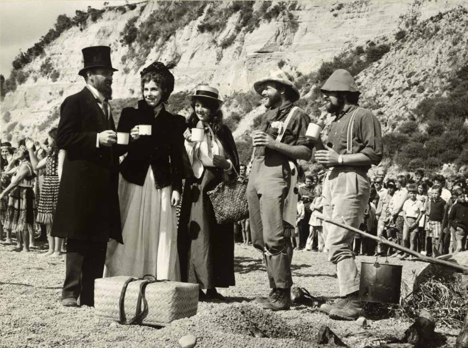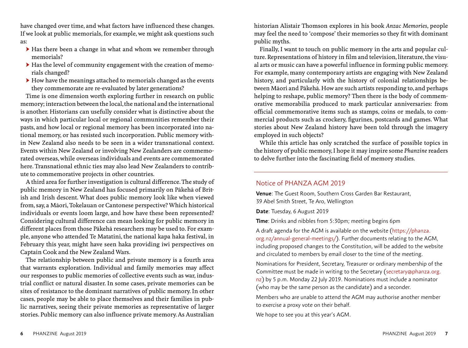have changed over time, and what factors have influenced these changes. If we look at public memorials, for example, we might ask questions such as:

- *►* Has there been a change in what and whom we remember through memorials?
- *►* Has the level of community engagement with the creation of memorials changed?
- *►* How have the meanings attached to memorials changed as the events they commemorate are re-evaluated by later generations?

Time is one dimension worth exploring further in research on public memory; interaction between the local, the national and the international is another. Historians can usefully consider what is distinctive about the ways in which particular local or regional communities remember their pasts, and how local or regional memory has been incorporated into national memory, or has resisted such incorporation. Public memory within New Zealand also needs to be seen in a wider transnational context. Events within New Zealand or involving New Zealanders are commemorated overseas, while overseas individuals and events are commemorated here. Transnational ethnic ties may also lead New Zealanders to contribute to commemorative projects in other countries.

A third area for further investigation is cultural difference. The study of public memory in New Zealand has focused primarily on Pākehā of British and Irish descent. What does public memory look like when viewed from, say, a Māori, Tokelauan or Cantonese perspective? Which historical individuals or events loom large, and how have these been represented? Considering cultural difference can mean looking for public memory in different places from those Pākehā researchers may be used to. For example, anyone who attended Te Matatini, the national kapa haka festival, in February this year, might have seen haka providing iwi perspectives on Captain Cook and the New Zealand Wars.

The relationship between public and private memory is a fourth area that warrants exploration. Individual and family memories may affect our responses to public memories of collective events such as war, industrial conflict or natural disaster. In some cases, private memories can be sites of resistance to the dominant narratives of public memory. In other cases, people may be able to place themselves and their families in public narratives, seeing their private memories as representative of larger stories. Public memory can also influence private memory. As Australian

historian Alistair Thomson explores in his book *Anzac Memories*, people may feel the need to 'compose' their memories so they fit with dominant public myths.

Finally, I want to touch on public memory in the arts and popular culture. Representations of history in film and television, literature, the visual arts or music can have a powerful influence in forming public memory. For example, many contemporary artists are engaging with New Zealand history, and particularly with the history of colonial relationships between Māori and Pākehā. How are such artists responding to, and perhaps helping to reshape, public memory? Then there is the body of commemorative memorabilia produced to mark particular anniversaries: from official commemorative items such as stamps, coins or medals, to commercial products such as crockery, figurines, postcards and games. What stories about New Zealand history have been told through the imagery employed in such objects?

While this article has only scratched the surface of possible topics in the history of public memory, I hope it may inspire some *Phanzine* readers to delve further into the fascinating field of memory studies.

#### Notice of PHANZA AGM 2019

Venue: The Guest Room, Southern Cross Garden Bar Restaurant, 39 Abel Smith Street, Te Aro, Wellington

Date: Tuesday, 6 August 2019

Time: Drinks and nibbles from 5:30pm; meeting begins 6pm

A draft agenda for the AGM is available on the website (https://phanza. org.nz/annual-general-meetings/). Further documents relating to the AGM, including proposed changes to the Constitution, will be added to the website and circulated to members by email closer to the time of the meeting.

Nominations for President, Secretary, Treasurer or ordinary membership of the Committee must be made in writing to the Secretary (secretary@phanza.org. nz) by 5 p.m. Monday 22 July 2019. Nominations must include a nominator (who may be the same person as the candidate) and a seconder.

Members who are unable to attend the AGM may authorise another member to exercise a proxy vote on their behalf.

We hope to see you at this year's AGM.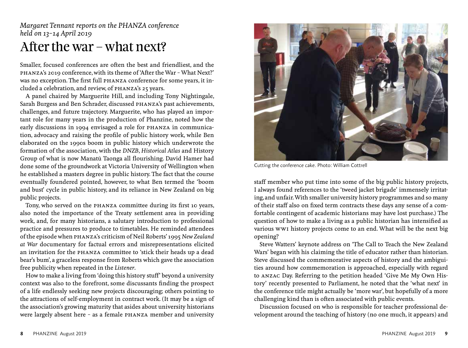#### *Margaret Tennant reports on the PHANZA conference held on 13–14 April 2019*

## After the war – what next?

Smaller, focused conferences are often the best and friendliest, and the PHANZA's 2019 conference, with its theme of 'After the War – What Next?' was no exception. The first full PHANZA conference for some years, it included a celebration, and review, of PHANZA's 25 years.

A panel chaired by Marguerite Hill, and including Tony Nightingale, Sarah Burgess and Ben Schrader, discussed PHANZA's past achievements, challenges, and future trajectory. Marguerite, who has played an important role for many years in the production of Phanzine, noted how the early discussions in 1994 envisaged a role for PHANZA in communication, advocacy and raising the profile of public history work, while Ben elaborated on the 1990s boom in public history which underwrote the formation of the association, with the *DNZB*, *Historical Atlas* and History Group of what is now Manatū Taonga all flourishing. David Hamer had done some of the groundwork at Victoria University of Wellington when he established a masters degree in public history. The fact that the course eventually foundered pointed, however, to what Ben termed the 'boom and bust' cycle in public history, and its reliance in New Zealand on big public projects.

Tony, who served on the PHANZA committee during its first 10 years, also noted the importance of the Treaty settlement area in providing work, and, for many historians, a salutary introduction to professional practice and pressures to produce to timetables. He reminded attendees of the episode when PHANZA's criticism of Neil Roberts' 1995 *New Zealand at War* documentary for factual errors and misrepresentations elicited an invitation for the PHANZA committee to 'stick their heads up a dead bear's bum', a graceless response from Roberts which gave the association free publicity when repeated in the *Listener*.

How to make a living from 'doing this history stuff' beyond a university context was also to the forefront, some discussants finding the prospect of a life endlessly seeking new projects discouraging; others pointing to the attractions of self-employment in contract work. (It may be a sign of the association's growing maturity that asides about university historians were largely absent here – as a female PHANZA member and university



Cutting the conference cake. Photo: William Cottrell

staff member who put time into some of the big public history projects, I always found references to the 'tweed jacket brigade' immensely irritating, and unfair. With smaller university history programmes and so many of their staff also on fixed term contracts these days any sense of a comfortable contingent of academic historians may have lost purchase.) The question of how to make a living as a public historian has intensified as various WWI history projects come to an end. What will be the next big opening?

Steve Watters' keynote address on 'The Call to Teach the New Zealand Wars' began with his claiming the title of educator rather than historian. Steve discussed the commemorative aspects of history and the ambiguities around how commemoration is approached, especially with regard to ANZAC Day. Referring to the petition headed 'Give Me My Own History' recently presented to Parliament, he noted that the 'what next' in the conference title might actually be 'more war', but hopefully of a more challenging kind than is often associated with public events.

Discussion focused on who is responsible for teacher professional development around the teaching of history (no one much, it appears) and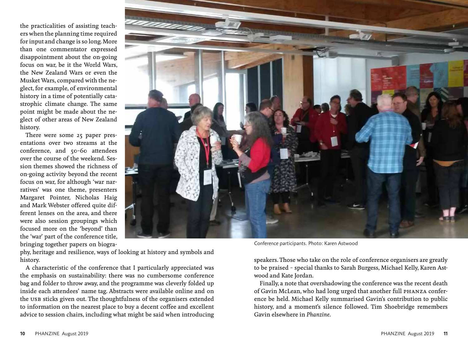the practicalities of assisting teachers when the planning time required for input and change is so long. More than one commentator expressed disappointment about the on-going focus on war, be it the World Wars, the New Zealand Wars or even the Musket Wars, compared with the neglect, for example, of environmental history in a time of potentially catastrophic climate change. The same point might be made about the neglect of other areas of New Zealand history.

There were some 25 paper presentations over two streams at the conference, and 50–60 attendees over the course of the weekend. Session themes showed the richness of on-going activity beyond the recent focus on war, for although 'war narratives' was one theme, presenters Margaret Pointer, Nicholas Haig and Mark Webster offered quite different lenses on the area, and there were also session groupings which focused more on the 'beyond' than the 'war' part of the conference title, bringing together papers on biogra-



Conference participants. Photo: Karen Astwood

phy, heritage and resilience, ways of looking at history and symbols and history.

A characteristic of the conference that I particularly appreciated was the emphasis on sustainability: there was no cumbersome conference bag and folder to throw away, and the programme was cleverly folded up inside each attendees' name tag. Abstracts were available online and on the USB sticks given out. The thoughtfulness of the organisers extended to information on the nearest place to buy a decent coffee and excellent advice to session chairs, including what might be said when introducing

speakers. Those who take on the role of conference organisers are greatly to be praised – special thanks to Sarah Burgess, Michael Kelly, Karen Astwood and Kate Jordan.

Finally, a note that overshadowing the conference was the recent death of Gavin McLean, who had long urged that another full PHANZA conference be held. Michael Kelly summarised Gavin's contribution to public history, and a moment's silence followed. Tim Shoebridge remembers Gavin elsewhere in *Phanzine*.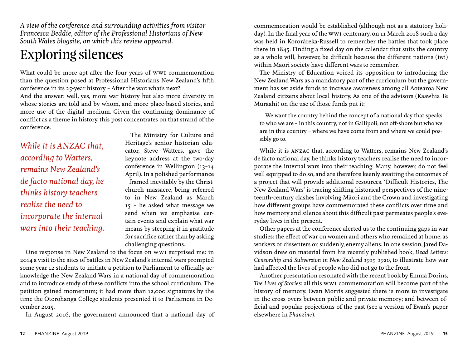*A view of the conference and surrounding activities from visitor Francesca Beddie, editor of the Professional Historians of New South Wales blogsite, on which this review appeared.*

# Exploring silences

What could be more apt after the four years of WWI commemoration than the question posed at Professional Historians New Zealand's fifth conference in its 25-year history – After the war: what's next? And the answer: well, yes, more war history but also more diversity in whose stories are told and by whom, and more place-based stories, and more use of the digital medium. Given the continuing dominance of conflict as a theme in history, this post concentrates on that strand of the conference.

*While it is ANZAC that, according to Watters, remains New Zealand's de facto national day, he thinks history teachers realise the need to incorporate the internal wars into their teaching.*

The Ministry for Culture and Heritage's senior historian educator, Steve Watters, gave the keynote address at the two-day conference in Wellington (13–14 April). In a polished performance – framed inevitably by the Christchurch massacre, being referred to in New Zealand as March 15 – he asked what message we send when we emphasise certain events and explain what war means by steeping it in gratitude for sacrifice rather than by asking challenging questions.

One response in New Zealand to the focus on WWI surprised me: in 2014 a visit to the sites of battles in New Zealand's internal wars prompted some year 12 students to initiate a petition to Parliament to officially acknowledge the New Zealand Wars in a national day of commemoration and to introduce study of these conflicts into the school curriculum. The petition gained momentum; it had more than 12,000 signatures by the time the Ōtorohanga College students presented it to Parliament in December 2015.

In August 2016, the government announced that a national day of

commemoration would be established (although not as a statutory holiday). In the final year of the WWI centenary, on 11 March 2018 such a day was held in Kororāreka-Russell to remember the battles that took place there in 1845. Finding a fixed day on the calendar that suits the country as a whole will, however, be difficult because the different nations (iwi) within Maori society have different wars to remember.

The Ministry of Education voiced its opposition to introducing the New Zealand Wars as a mandatory part of the curriculum but the government has set aside funds to increase awareness among all Aotearoa New Zealand citizens about local history. As one of the advisors (Kaawhia Te Muraahi) on the use of those funds put it:

We want the country behind the concept of a national day that speaks to who we are – in this country, not in Gallipoli, not off-shore but who we are in this country – where we have come from and where we could possibly go to.

While it is ANZAC that, according to Watters, remains New Zealand's de facto national day, he thinks history teachers realise the need to incorporate the internal wars into their teaching. Many, however, do not feel well equipped to do so, and are therefore keenly awaiting the outcomes of a project that will provide additional resources. 'Difficult Histories, The New Zealand Wars' is tracing shifting historical perspectives of the nineteenth-century clashes involving Māori and the Crown and investigating how different groups have commemorated these conflicts over time and how memory and silence about this difficult past permeates people's everyday lives in the present.

Other papers at the conference alerted us to the continuing gaps in war studies: the effect of war on women and others who remained at home, as workers or dissenters or, suddenly, enemy aliens. In one session, Jared Davidson drew on material from his recently published book, *Dead Letters: Censorship and Subversion in New Zealand 1915–1920*, to illustrate how war had affected the lives of people who did not go to the front.

Another presentation resonated with the recent book by Emma Dorins, *The Lives of Stories*: all this WWI commemoration will become part of the history of memory. Ewan Morris suggested there is more to investigate in the cross-overs between public and private memory; and between official and popular projections of the past (see a version of Ewan's paper elsewhere in *Phanzine*).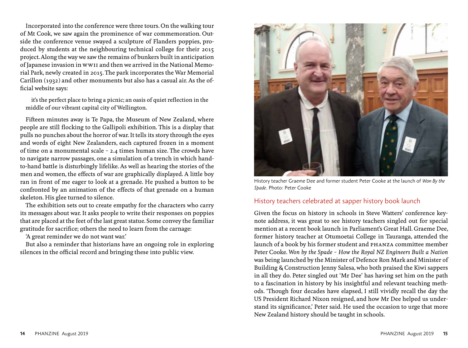Incorporated into the conference were three tours. On the walking tour of Mt Cook, we saw again the prominence of war commemoration. Outside the conference venue swayed a sculpture of Flanders poppies, produced by students at the neighbouring technical college for their 2015 project. Along the way we saw the remains of bunkers built in anticipation of Japanese invasion in WWII and then we arrived in the National Memorial Park, newly created in 2015. The park incorporates the War Memorial Carillon (1932) and other monuments but also has a casual air. As the official website says:

it's the perfect place to bring a picnic; an oasis of quiet reflection in the middle of our vibrant capital city of Wellington.

Fifteen minutes away is Te Papa, the Museum of New Zealand, where people are still flocking to the Gallipoli exhibition. This is a display that pulls no punches about the horror of war. It tells its story through the eyes and words of eight New Zealanders, each captured frozen in a moment of time on a monumental scale – 2.4 times human size. The crowds have to navigate narrow passages, one a simulation of a trench in which handto-hand battle is disturbingly lifelike. As well as hearing the stories of the men and women, the effects of war are graphically displayed. A little boy ran in front of me eager to look at a grenade. He pushed a button to be confronted by an animation of the effects of that grenade on a human skeleton. His glee turned to silence.

The exhibition sets out to create empathy for the characters who carry its messages about war. It asks people to write their responses on poppies that are placed at the feet of the last great statue. Some convey the familiar gratitude for sacrifice; others the need to learn from the carnage:

'A great reminder we do not want war.'

But also a reminder that historians have an ongoing role in exploring silences in the official record and bringing these into public view.



History teacher Graeme Dee and former student Peter Cooke at the launch of *Won By the Spade*. Photo: Peter Cooke

#### History teachers celebrated at sapper history book launch

Given the focus on history in schools in Steve Watters' conference keynote address, it was great to see history teachers singled out for special mention at a recent book launch in Parliament's Great Hall. Graeme Dee, former history teacher at Otumoetai College in Tauranga, attended the launch of a book by his former student and PHANZA committee member Peter Cooke. *Won by the Spade – How the Royal NZ Engineers Built a Nation* was being launched by the Minister of Defence Ron Mark and Minister of Building & Construction Jenny Salesa, who both praised the Kiwi sappers in all they do. Peter singled out 'Mr Dee' has having set him on the path to a fascination in history by his insightful and relevant teaching methods. 'Though four decades have elapsed, I still vividly recall the day the US President Richard Nixon resigned, and how Mr Dee helped us understand its significance,' Peter said. He used the occasion to urge that more New Zealand history should be taught in schools.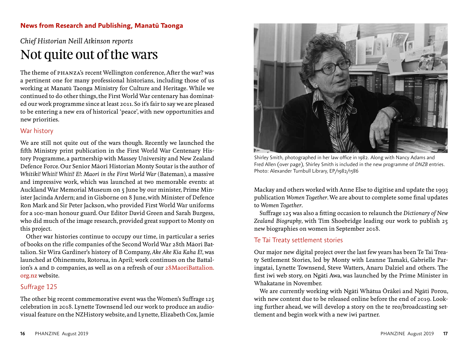#### **News from Research and Publishing, Manatū Taonga**

## *Chief Historian Neill Atkinson reports* Not quite out of the wars

The theme of PHANZA's recent Wellington conference, After the war? was a pertinent one for many professional historians, including those of us working at Manatū Taonga Ministry for Culture and Heritage. While we continued to do other things, the First World War centenary has dominated our work programme since at least 2011. So it's fair to say we are pleased to be entering a new era of historical 'peace', with new opportunities and new priorities.

#### War history

We are still not quite out of the wars though. Recently we launched the fifth Ministry print publication in the First World War Centenary History Programme, a partnership with Massey University and New Zealand Defence Force. Our Senior Māori Historian Monty Soutar is the author of *Whitiki! Whiti! Whiti! E!: Maori in the First World War* (Bateman), a massive and impressive work, which was launched at two memorable events: at Auckland War Memorial Museum on 5 June by our minister, Prime Minister Jacinda Ardern; and in Gisborne on 8 June, with Minister of Defence Ron Mark and Sir Peter Jackson, who provided First World War uniforms for a 100-man honour guard. Our Editor David Green and Sarah Burgess, who did much of the image research, provided great support to Monty on this project.

Other war histories continue to occupy our time, in particular a series of books on the rifle companies of the Second World War 28th Māori Battalion. Sir Wira Gardiner's history of B Company, *Ake Ake Kia Kaha E!*, was launched at Ōhinemutu, Rotorua, in April; work continues on the Battalion's A and D companies, as well as on a refresh of our [28MaoriBattalion.](http://28MaoriBattalion.org.nz) [org.nz](http://28MaoriBattalion.org.nz) website.

#### Suffrage 125

The other big recent commemorative event was the Women's Suffrage 125 celebration in 2018. Lynette Townsend led our work to produce an audiovisual feature on the NZHistory website, and Lynette, Elizabeth Cox, Jamie



Shirley Smith, photographed in her law office in 1982. Along with Nancy Adams and Fred Allen (over page), Shirley Smith is included in the new programme of *DNZB* entries. Photo: Alexander Turnbull Library, EP/1982/1586

Mackay and others worked with Anne Else to digitise and update the 1993 publication *Women Together*. We are about to complete some final updates to *Women Together*.

Suffrage 125 was also a fitting occasion to relaunch the *Dictionary of New Zealand Biography*, with Tim Shoebridge leading our work to publish 25 new biographies on women in September 2018.

#### Te Tai Treaty settlement stories

Our major new digital project over the last few years has been Te Tai Treaty Settlement Stories, led by Monty with Leanne Tamaki, Gabrielle Paringatai, Lynette Townsend, Steve Watters, Anaru Dalziel and others. The first iwi web story, on Ngāti Awa, was launched by the Prime Minister in Whakatane in November.

We are currently working with Ngāti Whātua Ōrākei and Ngāti Porou, with new content due to be released online before the end of 2019. Looking further ahead, we will develop a story on the te reo/broadcasting settlement and begin work with a new iwi partner.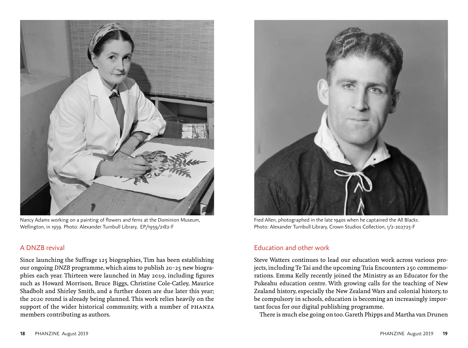

Nancy Adams working on a painting of flowers and ferns at the Dominion Museum, Wellington, in 1959. Photo: Alexander Turnbull Library, EP/1959/2182-F

#### A DNZB revival

Since launching the Suffrage 125 biographies, Tim has been establishing our ongoing *DNZB* programme, which aims to publish 20–25 new biographies each year. Thirteen were launched in May 2019, including figures such as Howard Morrison, Bruce Biggs, Christine Cole-Catley, Maurice Shadbolt and Shirley Smith, and a further dozen are due later this year; the 2020 round is already being planned. This work relies heavily on the support of the wider historical community, with a number of PHANZA members contributing as authors.



Fred Allen, photographed in the late 1940s when he captained the All Blacks. Photo: Alexander Turnbull Library, Crown Studios Collection, 1/2-202725-F

#### Education and other work

Steve Watters continues to lead our education work across various projects, including Te Tai and the upcoming Tuia Encounters 250 commemorations. Emma Kelly recently joined the Ministry as an Educator for the Pukeahu education centre. With growing calls for the teaching of New Zealand history, especially the New Zealand Wars and colonial history, to be compulsory in schools, education is becoming an increasingly important focus for our digital publishing programme.

There is much else going on too. Gareth Phipps and Martha van Drunen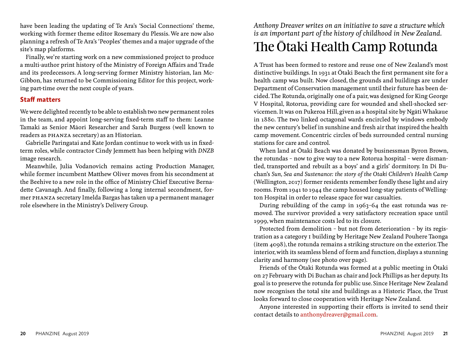have been leading the updating of Te Ara's 'Social Connections' theme, working with former theme editor Rosemary du Plessis. We are now also planning a refresh of Te Ara's 'Peoples' themes and a major upgrade of the site's map platforms.

Finally, we're starting work on a new commissioned project to produce a multi-author print history of the Ministry of Foreign Affairs and Trade and its predecessors. A long-serving former Ministry historian, Ian Mc-Gibbon, has returned to be Commissioning Editor for this project, working part-time over the next couple of years.

#### **Staff matters**

We were delighted recently to be able to establish two new permanent roles in the team, and appoint long-serving fixed-term staff to them: Leanne Tamaki as Senior Māori Researcher and Sarah Burgess (well known to readers as PHANZA secretary) as an Historian.

Gabrielle Paringatai and Kate Jordan continue to work with us in fixedterm roles, while contractor Cindy Jemmett has been helping with *DNZB* image research.

Meanwhile, Julia Vodanovich remains acting Production Manager, while former incumbent Matthew Oliver moves from his secondment at the Beehive to a new role in the office of Ministry Chief Executive Bernadette Cavanagh. And finally, following a long internal secondment, former PHANZA secretary Imelda Bargas has taken up a permanent manager role elsewhere in the Ministry's Delivery Group.

*Anthony Dreaver writes on an initiative to save a structure which is an important part of the history of childhood in New Zealand.*

## The Ōtaki Health Camp Rotunda

A Trust has been formed to restore and reuse one of New Zealand's most distinctive buildings. In 1931 at Ōtaki Beach the first permanent site for a health camp was built. Now closed, the grounds and buildings are under Department of Conservation management until their future has been decided. The Rotunda, originally one of a pair, was designed for King George V Hospital, Rotorua, providing care for wounded and shell-shocked servicemen. It was on Pukeroa Hill, given as a hospital site by Ngāti Whakaue in 1880. The two linked octagonal wards encircled by windows embody the new century's belief in sunshine and fresh air that inspired the health camp movement. Concentric circles of beds surrounded central nursing stations for care and control.

When land at Ōtaki Beach was donated by businessman Byron Brown, the rotundas – now to give way to a new Rotorua hospital – were dismantled, transported and rebuilt as a boys' and a girls' dormitory. In Di Buchan's *Sun, Sea and Sustenance: the story of the Otaki Children's Health Camp* (Wellington, 2017) former residents remember fondly these light and airy rooms. From 1941 to 1944 the camp housed long-stay patients of Wellington Hospital in order to release space for war casualties.

During rebuilding of the camp in 1963–64 the east rotunda was removed. The survivor provided a very satisfactory recreation space until 1999, when maintenance costs led to its closure.

Protected from demolition – but not from deterioration – by its registration as a category I building by Heritage New Zealand Pouhere Taonga (item 4098), the rotunda remains a striking structure on the exterior. The interior, with its seamless blend of form and function, displays a stunning clarity and harmony (see photo over page).

Friends of the Ōtaki Rotunda was formed at a public meeting in Ōtaki on 27 February with Di Buchan as chair and Jock Phillips as her deputy. Its goal is to preserve the rotunda for public use. Since Heritage New Zealand now recognises the total site and buildings as a Historic Place, the Trust looks forward to close cooperation with Heritage New Zealand.

Anyone interested in supporting their efforts is invited to send their contact details to anthonydreaver@gmail.com.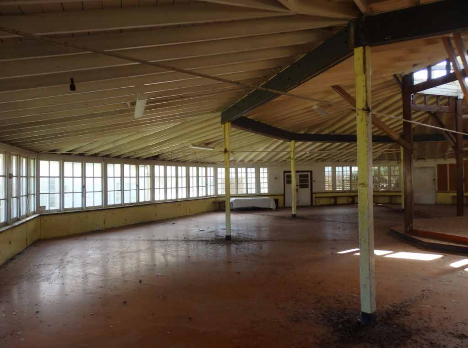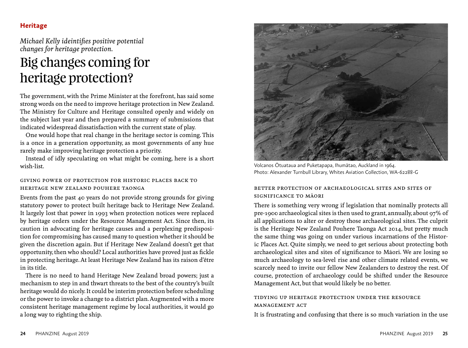#### **Heritage**

*Michael Kelly ideintifies positive potential changes for heritage protection.* 

## Big changes coming for heritage protection?

The government, with the Prime Minister at the forefront, has said some strong words on the need to improve heritage protection in New Zealand. The Ministry for Culture and Heritage consulted openly and widely on the subject last year and then prepared a summary of submissions that indicated widespread dissatisfaction with the current state of play.

One would hope that real change in the heritage sector is coming. This is a once in a generation opportunity, as most governments of any hue rarely make improving heritage protection a priority.

Instead of idly speculating on what might be coming, here is a short wish-list.

#### Giving power of protection for historic places back to Heritage New Zealand Pouhere Taonga

Events from the past 40 years do not provide strong grounds for giving statutory power to protect built heritage back to Heritage New Zealand. It largely lost that power in 1993 when protection notices were replaced by heritage orders under the Resource Management Act. Since then, its caution in advocating for heritage causes and a perplexing predisposition for compromising has caused many to question whether it should be given the discretion again. But if Heritage New Zealand doesn't get that opportunity, then who should? Local authorities have proved just as fickle in protecting heritage. At least Heritage New Zealand has its raison d'être in its title.

There is no need to hand Heritage New Zealand broad powers; just a mechanism to step in and thwart threats to the best of the country's built heritage would do nicely. It could be interim protection before scheduling or the power to invoke a change to a district plan. Augmented with a more consistent heritage management regime by local authorities, it would go a long way to righting the ship.



Volcanos Ōtuataua and Puketapapa, Ihumātao, Auckland in 1964. Photo: Alexander Turnbull Library, Whites Aviation Collection, WA-62288-G

#### Better protection of archaeological sites and sites of significance to Māori

There is something very wrong if legislation that nominally protects all pre-1900 archaeological sites is then used to grant, annually, about 97% of all applications to alter or destroy those archaeological sites. The culprit is the Heritage New Zealand Pouhere Taonga Act 2014, but pretty much the same thing was going on under various incarnations of the Historic Places Act. Quite simply, we need to get serious about protecting both archaeological sites and sites of significance to Māori. We are losing so much archaeology to sea-level rise and other climate related events, we scarcely need to invite our fellow New Zealanders to destroy the rest. Of course, protection of archaeology could be shifted under the Resource Management Act, but that would likely be no better.

#### Tidying up heritage protection under the Resource Management Act

It is frustrating and confusing that there is so much variation in the use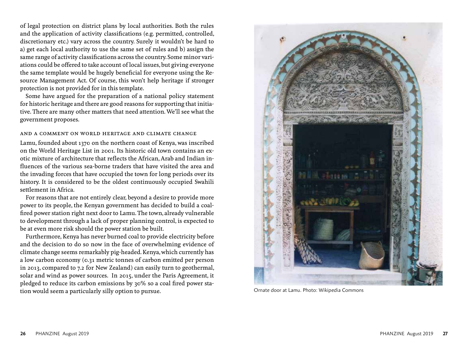of legal protection on district plans by local authorities. Both the rules and the application of activity classifications (e.g. permitted, controlled, discretionary etc.) vary across the country. Surely it wouldn't be hard to a) get each local authority to use the same set of rules and b) assign the same range of activity classifications across the country. Some minor variations could be offered to take account of local issues, but giving everyone the same template would be hugely beneficial for everyone using the Resource Management Act. Of course, this won't help heritage if stronger protection is not provided for in this template.

Some have argued for the preparation of a national policy statement for historic heritage and there are good reasons for supporting that initiative. There are many other matters that need attention. We'll see what the government proposes.

#### And a comment on World heritage and climate change

Lamu, founded about 1370 on the northern coast of Kenya, was inscribed on the World Heritage List in 2001. Its historic old town contains an exotic mixture of architecture that reflects the African, Arab and Indian influences of the various sea-borne traders that have visited the area and the invading forces that have occupied the town for long periods over its history. It is considered to be the oldest continuously occupied Swahili settlement in Africa.

For reasons that are not entirely clear, beyond a desire to provide more power to its people, the Kenyan government has decided to build a coalfired power station right next door to Lamu. The town, already vulnerable to development through a lack of proper planning control, is expected to be at even more risk should the power station be built.

Furthermore, Kenya has never burned coal to provide electricity before and the decision to do so now in the face of overwhelming evidence of climate change seems remarkably pig-headed. Kenya, which currently has a low carbon economy (0.31 metric tonnes of carbon emitted per person in 2013, compared to 7.2 for New Zealand) can easily turn to geothermal, solar and wind as power sources. In 2015, under the Paris Agreement, it pledged to reduce its carbon emissions by 30% so a coal fired power station would seem a particularly silly option to pursue. The state of the Commons of Commons of Lamu. Photo: Wikipedia Commons

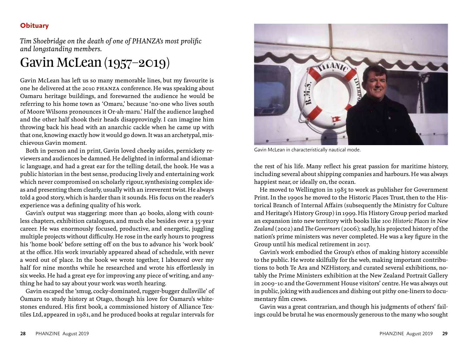#### **Obituary**

*Tim Shoebridge on the death of one of PHANZA's most prolific and longstanding members.*

## Gavin McLean (1957–2019)

Gavin McLean has left us so many memorable lines, but my favourite is one he delivered at the 2010 PHANZA conference. He was speaking about Oamaru heritage buildings, and forewarned the audience he would be referring to his home town as 'Omaru,' because 'no-one who lives south of Moore Wilsons pronounces it Or-ah-maru.' Half the audience laughed and the other half shook their heads disapprovingly. I can imagine him throwing back his head with an anarchic cackle when he came up with that one, knowing exactly how it would go down. It was an archetypal, mischievous Gavin moment.

Both in person and in print, Gavin loved cheeky asides, pernickety reviewers and audiences be damned. He delighted in informal and idiomatic language, and had a great ear for the telling detail, the hook. He was a public historian in the best sense, producing lively and entertaining work which never compromised on scholarly rigour, synthesising complex ideas and presenting them clearly, usually with an irreverent twist. He always told a good story, which is harder than it sounds. His focus on the reader's experience was a defining quality of his work.

Gavin's output was staggering: more than 40 books, along with countless chapters, exhibition catalogues, and much else besides over a 35-year career. He was enormously focused, productive, and energetic, juggling multiple projects without difficulty. He rose in the early hours to progress his 'home book' before setting off on the bus to advance his 'work book' at the office. His work invariably appeared ahead of schedule, with never a word out of place. In the book we wrote together, I laboured over my half for nine months while he researched and wrote his effortlessly in six weeks. He had a great eye for improving any piece of writing, and anything he had to say about your work was worth hearing.

Gavin escaped the 'smug, cocky-dominated, rugger-bugger dullsville' of Ōamaru to study history at Otago, though his love for Ōamaru's whitestones endured. His first book, a commissioned history of Alliance Textiles Ltd, appeared in 1981, and he produced books at regular intervals for



Gavin McLean in characteristically nautical mode.

the rest of his life. Many reflect his great passion for maritime history, including several about shipping companies and harbours. He was always happiest near, or ideally on, the ocean.

He moved to Wellington in 1985 to work as publisher for Government Print. In the 1990s he moved to the Historic Places Trust, then to the Historical Branch of Internal Affairs (subsequently the Ministry for Culture and Heritage's History Group) in 1999. His History Group period marked an expansion into new territory with books like *100 Historic Places in New Zealand* (2002) and *The Governors* (2006); sadly, his projected history of the nation's prime ministers was never completed. He was a key figure in the Group until his medical retirement in 2017.

Gavin's work embodied the Group's ethos of making history accessible to the public. He wrote skilfully for the web, making important contributions to both Te Ara and NZHistory, and curated several exhibitions, notably the Prime Ministers exhibition at the New Zealand Portrait Gallery in 2009–10 and the Government House visitors' centre. He was always out in public, joking with audiences and dishing out pithy one-liners to documentary film crews.

Gavin was a great contrarian, and though his judgments of others' failings could be brutal he was enormously generous to the many who sought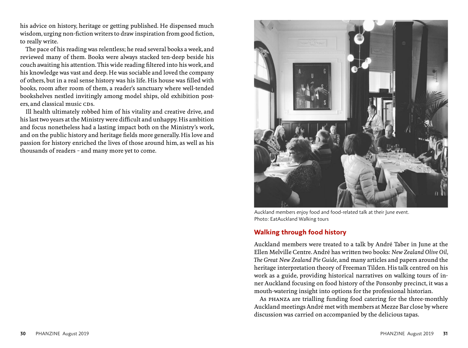his advice on history, heritage or getting published. He dispensed much wisdom, urging non-fiction writers to draw inspiration from good fiction, to really write.

The pace of his reading was relentless; he read several books a week, and reviewed many of them. Books were always stacked ten-deep beside his couch awaiting his attention. This wide reading filtered into his work, and his knowledge was vast and deep. He was sociable and loved the company of others, but in a real sense history was his life. His house was filled with books, room after room of them, a reader's sanctuary where well-tended bookshelves nestled invitingly among model ships, old exhibition posters, and classical music CDs.

Ill health ultimately robbed him of his vitality and creative drive, and his last two years at the Ministry were difficult and unhappy. His ambition and focus nonetheless had a lasting impact both on the Ministry's work, and on the public history and heritage fields more generally. His love and passion for history enriched the lives of those around him, as well as his thousands of readers – and many more yet to come.



Auckland members enjoy food and food-related talk at their June event. Photo: EatAuckland Walking tours

#### **Walking through food history**

Auckland members were treated to a talk by André Taber in June at the Ellen Melville Centre. André has written two books: *New Zealand Olive Oil*, *The Great New Zealand Pie Guide*, and many articles and papers around the heritage interpretation theory of Freeman Tilden. His talk centred on his work as a guide, providing historical narratives on walking tours of inner Auckland focusing on food history of the Ponsonby precinct, it was a mouth-watering insight into options for the professional historian.

As PHANZA are trialling funding food catering for the three-monthly Auckland meetings André met with members at Mezze Bar close by where discussion was carried on accompanied by the delicious tapas.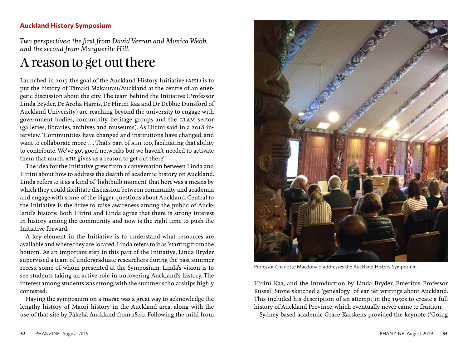#### **Auckland History Symposium**

*Two perspectives: the first from David Verran and Monica Webb, and the second from Marguerite Hill.*

## A reason to get out there

Launched in 2017, the goal of the Auckland History Initiative (AHI) is to put the history of Tāmaki Makaurau/Auckland at the centre of an energetic discussion about the city. The team behind the Initiative (Professor Linda Bryder, Dr Aroha Harris, Dr Hirini Kaa and Dr Debbie Dunsford of Auckland University) are reaching beyond the university to engage with government bodies, community heritage groups and the GLAM sector (galleries, libraries, archives and museums). As Hirini said in a 2018 interview, 'Communities have changed and institutions have changed, and want to collaborate more . . . That's part of AHI too, facilitating that ability to contribute. We've got good networks but we haven't needed to activate them that much. AHI gives us a reason to get out there'.

The idea for the Initiative grew from a conversation between Linda and Hirini about how to address the dearth of academic history on Auckland. Linda refers to it as a kind of 'lightbulb moment' that here was a means by which they could facilitate discussion between community and academia and engage with some of the bigger questions about Auckland. Central to the Initiative is the drive to raise awareness among the public of Auckland's history. Both Hirini and Linda agree that there is strong interest in history among the community and now is the right time to push the Initiative forward.

A key element in the Initiative is to understand what resources are available and where they are located. Linda refers to it as 'starting from the bottom'. As an important step in this part of the Initiative, Linda Bryder supervised a team of undergraduate researchers during the past summer recess, some of whom presented at the Symposium. Linda's vision is to see students taking an active role in uncovering Auckland's history. The interest among students was strong, with the summer scholarships highly contested.

Having the symposium on a marae was a great way to acknowledge the lengthy history of Māori history in the Auckland area, along with the use of that site by Pākehā Auckland from 1840. Following the mihi from



Professor Charlotte Macdonald addresses the Auckland History Symposium.

Hirini Kaa, and the introduction by Linda Bryder, Emeritus Professor Russell Stone sketched a 'genealogy' of earlier writings about Auckland. This included his description of an attempt in the 1950s to create a full history of Auckland Province, which eventually never came to fruition.

Sydney based academic Grace Karskens provided the keynote ('Going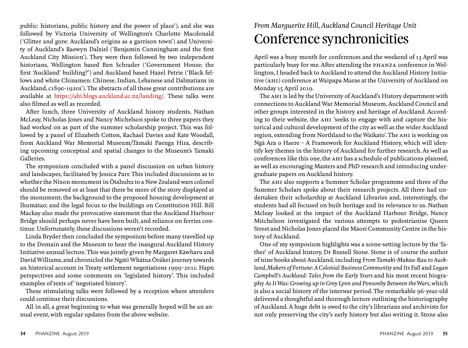public: historians, public history and the power of place'), and she was followed by Victoria University of Wellington's Charlotte Macdonald ('Glitter and gore: Auckland's origins as a garrison town') and University of Auckland's Raewyn Dalziel ('Benjamin Cunningham and the first Auckland City Mission'). They were then followed by two independent historians, Wellington based Ben Schrader ('Government House; the first 'Auckland' building?') and Auckland based Hazel Petrie ('Black fellows and white Chinamen: Chinese, Indian, Lebanese and Dalmatians in Auckland, c1890-1920s'). The abstracts of all these great contributions are available at [https://ahi.blogs.auckland.ac.nz/landing/.](https://ahi.blogs.auckland.ac.nz/landing/) These talks were also filmed as well as recorded.

After lunch, three University of Auckland history students, Nathan McLeay, Nicholas Jones and Nancy Michelson spoke to three papers they had worked on as part of the summer scholarship project. This was followed by a panel of Elizabeth Cotton, Rachael Davies and Kate Woodall, from Auckland War Memorial Museum/Tāmaki Paenga Hira, describing upcoming conceptual and spatial changes to the Museum's Tamaki Galleries.

The symposium concluded with a panel discussion on urban history and landscapes, facilitated by Jessica Parr. This included discussions as to whether the Nixon monument in Ōtahuhu to a New Zealand wars colonel should be removed or at least that there be more of the story displayed at the monument; the background to the proposed housing development at Ihumātao; and the legal focus to the buildings on Constitution Hill. Bill Mackay also made the provocative statement that the Auckland Harbour Bridge should perhaps never have been built, and reliance on ferries continue. Unfortunately, these discussions weren't recorded.

Linda Bryder then concluded the symposium before many travelled up to the Domain and the Museum to hear the inaugural Auckland History Initiative annual lecture. This was jointly given by Margaret Kāwharu and David Williams, and chronicled the Ngāti Whātua Ōrākei journey towards an historical account in Treaty settlement negotiations 1999–2011: Hapū perspectives and some comments on 'legislated history'. This included examples of texts of 'negotiated history'.

These stimulating talks were followed by a reception where attenders could continue their discussions.

All in all, a great beginning to what was generally hoped will be an annual event, with regular updates from the above website.

### *From Marguerite Hill, Auckland Council Heritage Unit*  Conference synchronicities

April was a busy month for conferences and the weekend of 13 April was particularly busy for me. After attending the PHANZA conference in Wellington, I headed back to Auckland to attend the Auckland History Initiative (AHI) conference at Waipapa Marae at the University of Auckland on Monday 15 April 2019.

The AHI is led by the University of Auckland's History department with connections to Auckland War Memorial Museum, Auckland Council and other groups interested in the history and heritage of Auckland. According to their website, the AHI 'seeks to engage with and capture the historical and cultural development of the city as well as the wider Auckland region, extending from Northland to the Waikato'. The AHI is working on Ngā Ara o Haere – A Framework for Auckland History, which will identify key themes in the history of Auckland for further research. As well as conferences like this one, the AHI has a schedule of publications planned, as well as encouraging Masters and PhD research and introducing undergraduate papers on Auckland history.

The AHI also supports a Summer Scholar programme and three of the Summer Scholars spoke about their research projects. All three had undertaken their scholarship at Auckland Libraries and, interestingly, the students had all focused on built heritage and its relevance to us. Nathan Mcleay looked at the impact of the Auckland Harbour Bridge, Nancy Mitchelson investigated the various attempts to pedestrianise Queen Street and Nicholas Jones placed the Māori Community Centre in the history of Auckland.

One of my symposium highlights was a scene-setting lecture by the 'father' of Auckland history, Dr Russell Stone. Stone is of course the author of nine books about Auckland, including F*rom Tamaki-Makau-Rau to Auck*land, Makers of Fortune: A Colonial Business Community and Its Fall and *Logan Campbell's Auckland: Tales from the Early Years* and his most recent biography *As It Was: Growing up in Grey Lynn and Ponsonby Between the Wars*, which is also a social history of the interwar period. The remarkable 96-year-old delivered a thoughtful and thorough lecture outlining the historiography of Auckland. A huge debt is owed to the city's librarians and archivists for not only preserving the city's early history but also writing it. Stone also